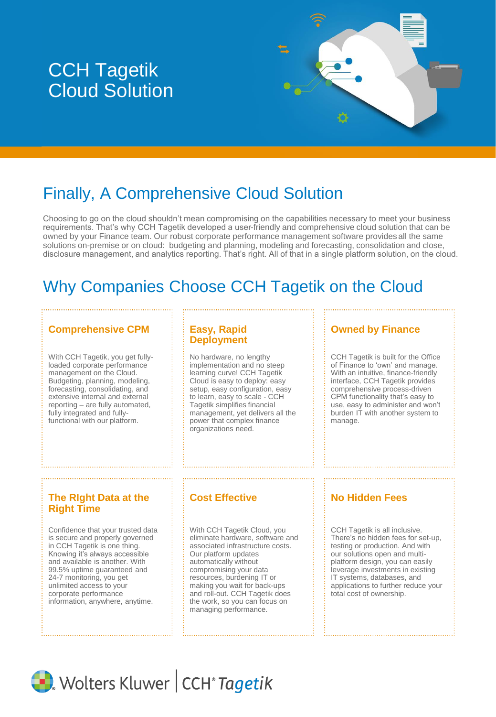# CCH Tagetik Cloud Solution



# Finally, A Comprehensive Cloud Solution

Choosing to go on the cloud shouldn't mean compromising on the capabilities necessary to meet your business requirements. That's why CCH Tagetik developed a user-friendly and comprehensive cloud solution that can be owned by your Finance team. Our robust corporate performance management software provides all the same solutions on-premise or on cloud: budgeting and planning, modeling and forecasting, consolidation and close, disclosure management, and analytics reporting. That's right. All of that in a single platform solution, on the cloud.

# Why Companies Choose CCH Tagetik on the Cloud

# **Comprehensive CPM Easy, Rapid**

With CCH Tagetik, you get fullyloaded corporate performance management on the Cloud. Budgeting, planning, modeling, forecasting, consolidating, and extensive internal and external reporting – are fully automated, fully integrated and fullyfunctional with our platform.

# **Deployment**

No hardware, no lengthy implementation and no steep learning curve! CCH Tagetik Cloud is easy to deploy: easy setup, easy configuration, easy to learn, easy to scale - CCH Tagetik simplifies financial management, yet delivers all the power that complex finance organizations need.

### **Owned by Finance**

CCH Tagetik is built for the Office of Finance to 'own' and manage. With an intuitive, finance-friendly interface, CCH Tagetik provides comprehensive process-driven CPM functionality that's easy to use, easy to administer and won't burden IT with another system to manage.

## **The RIght Data at the Right Time**

Confidence that your trusted data is secure and properly governed in CCH Tagetik is one thing. Knowing it's always accessible and available is another. With 99.5% uptime guaranteed and 24-7 monitoring, you get unlimited access to your corporate performance information, anywhere, anytime.

With CCH Tagetik Cloud, you eliminate hardware, software and associated infrastructure costs. Our platform updates automatically without compromising your data resources, burdening IT or making you wait for back-ups and roll-out. CCH Tagetik does the work, so you can focus on managing performance.

# **Cost Effective <b>No Hidden Fees**

CCH Tagetik is all inclusive. There's no hidden fees for set-up, testing or production. And with our solutions open and multiplatform design, you can easily leverage investments in existing IT systems, databases, and applications to further reduce your total cost of ownership.